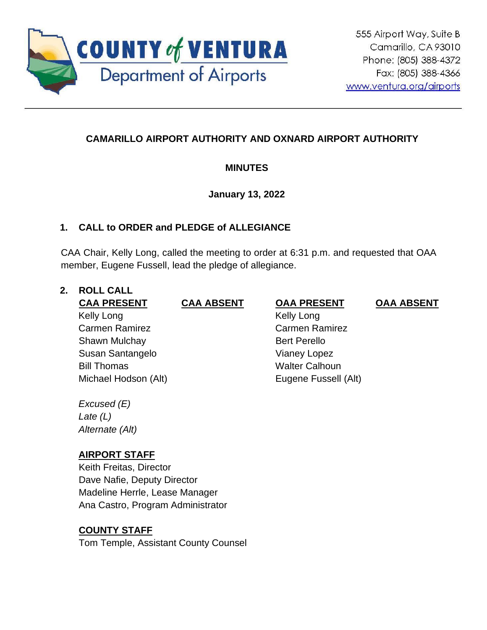

# **CAMARILLO AIRPORT AUTHORITY AND OXNARD AIRPORT AUTHORITY**

# **MINUTES**

## **January 13, 2022**

# **1. CALL to ORDER and PLEDGE of ALLEGIANCE**

CAA Chair, Kelly Long, called the meeting to order at 6:31 p.m. and requested that OAA member, Eugene Fussell, lead the pledge of allegiance.

## **2. ROLL CALL**

**CAA PRESENT CAA ABSENT OAA PRESENT OAA ABSENT** Kelly Long Carmen Ramirez Shawn Mulchay Susan Santangelo Bill Thomas **Walter Calhoun** Michael Hodson (Alt) Eugene Fussell (Alt)

 Kelly Long Carmen Ramirez Bert Perello Vianey Lopez

*Excused (E) Late (L) Alternate (Alt)*

# **AIRPORT STAFF**

Keith Freitas, Director Dave Nafie, Deputy Director Madeline Herrle, Lease Manager Ana Castro, Program Administrator

# **COUNTY STAFF**

Tom Temple, Assistant County Counsel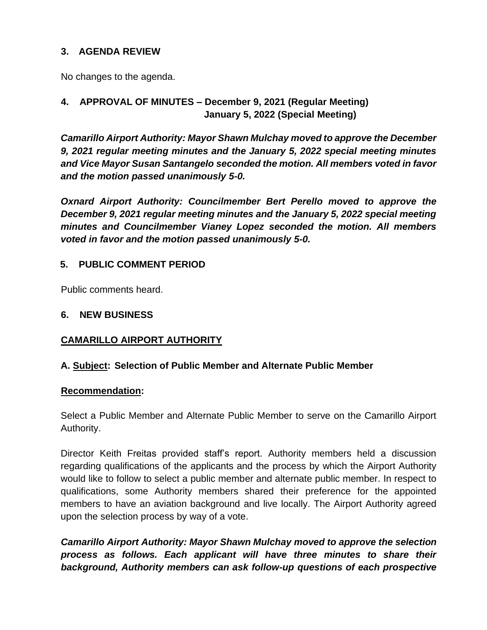## **3. AGENDA REVIEW**

No changes to the agenda.

## **4. APPROVAL OF MINUTES – December 9, 2021 (Regular Meeting) January 5, 2022 (Special Meeting)**

*Camarillo Airport Authority: Mayor Shawn Mulchay moved to approve the December 9, 2021 regular meeting minutes and the January 5, 2022 special meeting minutes and Vice Mayor Susan Santangelo seconded the motion. All members voted in favor and the motion passed unanimously 5-0.*

*Oxnard Airport Authority: Councilmember Bert Perello moved to approve the December 9, 2021 regular meeting minutes and the January 5, 2022 special meeting minutes and Councilmember Vianey Lopez seconded the motion. All members voted in favor and the motion passed unanimously 5-0.*

## **5. PUBLIC COMMENT PERIOD**

Public comments heard.

## **6. NEW BUSINESS**

## **CAMARILLO AIRPORT AUTHORITY**

## **A. Subject: Selection of Public Member and Alternate Public Member**

#### **Recommendation:**

Select a Public Member and Alternate Public Member to serve on the Camarillo Airport Authority.

Director Keith Freitas provided staff's report. Authority members held a discussion regarding qualifications of the applicants and the process by which the Airport Authority would like to follow to select a public member and alternate public member. In respect to qualifications, some Authority members shared their preference for the appointed members to have an aviation background and live locally. The Airport Authority agreed upon the selection process by way of a vote.

*Camarillo Airport Authority: Mayor Shawn Mulchay moved to approve the selection process as follows. Each applicant will have three minutes to share their background, Authority members can ask follow-up questions of each prospective*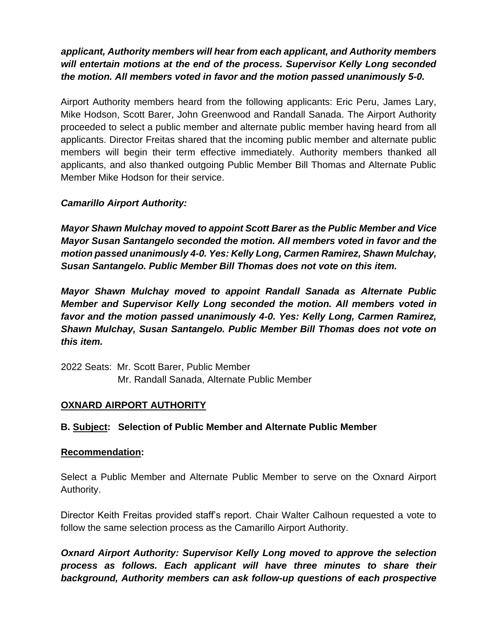# *applicant, Authority members will hear from each applicant, and Authority members will entertain motions at the end of the process. Supervisor Kelly Long seconded the motion. All members voted in favor and the motion passed unanimously 5-0.*

Airport Authority members heard from the following applicants: Eric Peru, James Lary, Mike Hodson, Scott Barer, John Greenwood and Randall Sanada. The Airport Authority proceeded to select a public member and alternate public member having heard from all applicants. Director Freitas shared that the incoming public member and alternate public members will begin their term effective immediately. Authority members thanked all applicants, and also thanked outgoing Public Member Bill Thomas and Alternate Public Member Mike Hodson for their service.

## *Camarillo Airport Authority:*

*Mayor Shawn Mulchay moved to appoint Scott Barer as the Public Member and Vice Mayor Susan Santangelo seconded the motion. All members voted in favor and the motion passed unanimously 4-0. Yes: Kelly Long, Carmen Ramirez, Shawn Mulchay, Susan Santangelo. Public Member Bill Thomas does not vote on this item.*

*Mayor Shawn Mulchay moved to appoint Randall Sanada as Alternate Public Member and Supervisor Kelly Long seconded the motion. All members voted in favor and the motion passed unanimously 4-0. Yes: Kelly Long, Carmen Ramirez, Shawn Mulchay, Susan Santangelo. Public Member Bill Thomas does not vote on this item.* 

2022 Seats: Mr. Scott Barer, Public Member Mr. Randall Sanada, Alternate Public Member

## **OXNARD AIRPORT AUTHORITY**

## **B. Subject: Selection of Public Member and Alternate Public Member**

## **Recommendation:**

Select a Public Member and Alternate Public Member to serve on the Oxnard Airport Authority.

Director Keith Freitas provided staff's report. Chair Walter Calhoun requested a vote to follow the same selection process as the Camarillo Airport Authority.

*Oxnard Airport Authority: Supervisor Kelly Long moved to approve the selection process as follows. Each applicant will have three minutes to share their background, Authority members can ask follow-up questions of each prospective*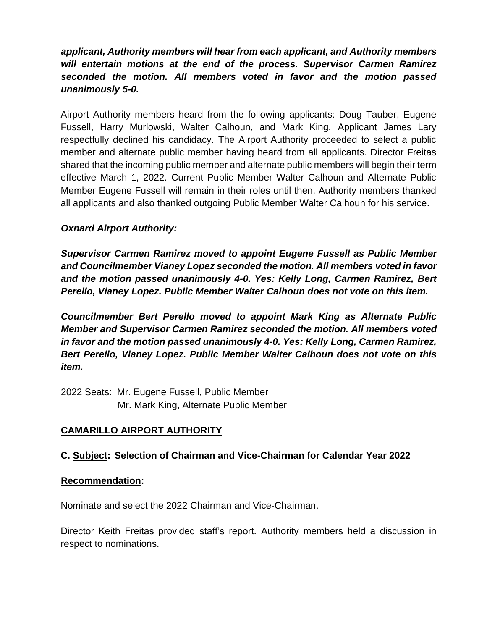# *applicant, Authority members will hear from each applicant, and Authority members will entertain motions at the end of the process. Supervisor Carmen Ramirez seconded the motion. All members voted in favor and the motion passed unanimously 5-0.*

Airport Authority members heard from the following applicants: Doug Tauber, Eugene Fussell, Harry Murlowski, Walter Calhoun, and Mark King. Applicant James Lary respectfully declined his candidacy. The Airport Authority proceeded to select a public member and alternate public member having heard from all applicants. Director Freitas shared that the incoming public member and alternate public members will begin their term effective March 1, 2022. Current Public Member Walter Calhoun and Alternate Public Member Eugene Fussell will remain in their roles until then. Authority members thanked all applicants and also thanked outgoing Public Member Walter Calhoun for his service.

## *Oxnard Airport Authority:*

*Supervisor Carmen Ramirez moved to appoint Eugene Fussell as Public Member and Councilmember Vianey Lopez seconded the motion. All members voted in favor and the motion passed unanimously 4-0. Yes: Kelly Long, Carmen Ramirez, Bert Perello, Vianey Lopez. Public Member Walter Calhoun does not vote on this item.*

*Councilmember Bert Perello moved to appoint Mark King as Alternate Public Member and Supervisor Carmen Ramirez seconded the motion. All members voted in favor and the motion passed unanimously 4-0. Yes: Kelly Long, Carmen Ramirez, Bert Perello, Vianey Lopez. Public Member Walter Calhoun does not vote on this item.*

2022 Seats: Mr. Eugene Fussell, Public Member Mr. Mark King, Alternate Public Member

# **CAMARILLO AIRPORT AUTHORITY**

## **C. Subject: Selection of Chairman and Vice-Chairman for Calendar Year 2022**

#### **Recommendation:**

Nominate and select the 2022 Chairman and Vice-Chairman.

Director Keith Freitas provided staff's report. Authority members held a discussion in respect to nominations.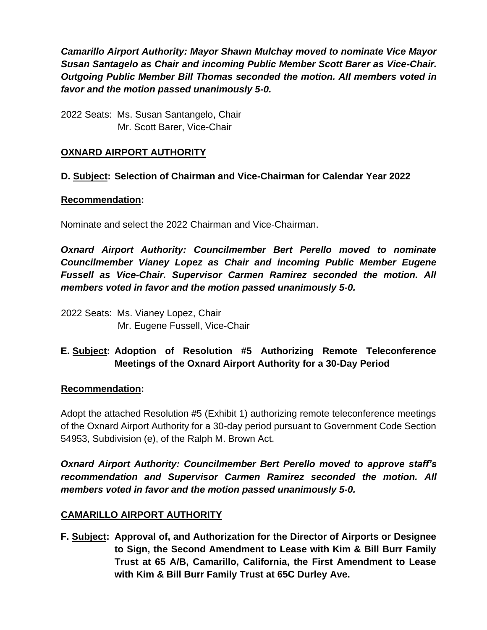*Camarillo Airport Authority: Mayor Shawn Mulchay moved to nominate Vice Mayor Susan Santagelo as Chair and incoming Public Member Scott Barer as Vice-Chair. Outgoing Public Member Bill Thomas seconded the motion. All members voted in favor and the motion passed unanimously 5-0.*

2022 Seats: Ms. Susan Santangelo, Chair Mr. Scott Barer, Vice-Chair

## **OXNARD AIRPORT AUTHORITY**

## **D. Subject: Selection of Chairman and Vice-Chairman for Calendar Year 2022**

#### **Recommendation:**

Nominate and select the 2022 Chairman and Vice-Chairman.

*Oxnard Airport Authority: Councilmember Bert Perello moved to nominate Councilmember Vianey Lopez as Chair and incoming Public Member Eugene Fussell as Vice-Chair. Supervisor Carmen Ramirez seconded the motion. All members voted in favor and the motion passed unanimously 5-0.*

2022 Seats: Ms. Vianey Lopez, Chair Mr. Eugene Fussell, Vice-Chair

# **E. Subject: Adoption of Resolution #5 Authorizing Remote Teleconference Meetings of the Oxnard Airport Authority for a 30-Day Period**

## **Recommendation:**

Adopt the attached Resolution #5 (Exhibit 1) authorizing remote teleconference meetings of the Oxnard Airport Authority for a 30-day period pursuant to Government Code Section 54953, Subdivision (e), of the Ralph M. Brown Act.

*Oxnard Airport Authority: Councilmember Bert Perello moved to approve staff's recommendation and Supervisor Carmen Ramirez seconded the motion. All members voted in favor and the motion passed unanimously 5-0.*

## **CAMARILLO AIRPORT AUTHORITY**

**F. Subject: Approval of, and Authorization for the Director of Airports or Designee to Sign, the Second Amendment to Lease with Kim & Bill Burr Family Trust at 65 A/B, Camarillo, California, the First Amendment to Lease with Kim & Bill Burr Family Trust at 65C Durley Ave.**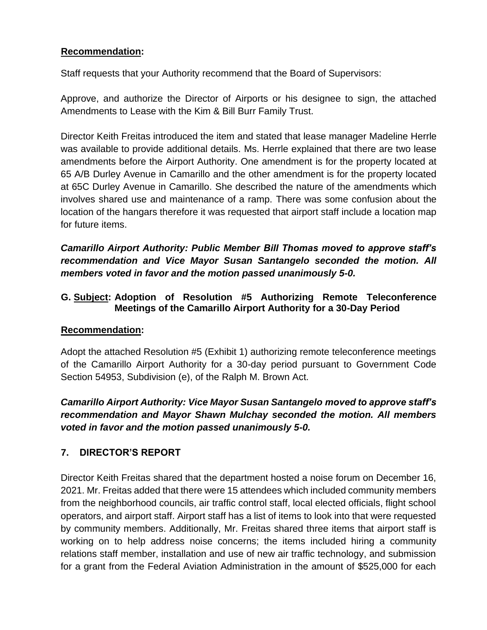## **Recommendation:**

Staff requests that your Authority recommend that the Board of Supervisors:

Approve, and authorize the Director of Airports or his designee to sign, the attached Amendments to Lease with the Kim & Bill Burr Family Trust.

Director Keith Freitas introduced the item and stated that lease manager Madeline Herrle was available to provide additional details. Ms. Herrle explained that there are two lease amendments before the Airport Authority. One amendment is for the property located at 65 A/B Durley Avenue in Camarillo and the other amendment is for the property located at 65C Durley Avenue in Camarillo. She described the nature of the amendments which involves shared use and maintenance of a ramp. There was some confusion about the location of the hangars therefore it was requested that airport staff include a location map for future items.

*Camarillo Airport Authority: Public Member Bill Thomas moved to approve staff's recommendation and Vice Mayor Susan Santangelo seconded the motion. All members voted in favor and the motion passed unanimously 5-0.*

## **G. Subject: Adoption of Resolution #5 Authorizing Remote Teleconference Meetings of the Camarillo Airport Authority for a 30-Day Period**

## **Recommendation:**

Adopt the attached Resolution #5 (Exhibit 1) authorizing remote teleconference meetings of the Camarillo Airport Authority for a 30-day period pursuant to Government Code Section 54953, Subdivision (e), of the Ralph M. Brown Act.

# *Camarillo Airport Authority: Vice Mayor Susan Santangelo moved to approve staff's recommendation and Mayor Shawn Mulchay seconded the motion. All members voted in favor and the motion passed unanimously 5-0.*

# **7. DIRECTOR'S REPORT**

Director Keith Freitas shared that the department hosted a noise forum on December 16, 2021. Mr. Freitas added that there were 15 attendees which included community members from the neighborhood councils, air traffic control staff, local elected officials, flight school operators, and airport staff. Airport staff has a list of items to look into that were requested by community members. Additionally, Mr. Freitas shared three items that airport staff is working on to help address noise concerns; the items included hiring a community relations staff member, installation and use of new air traffic technology, and submission for a grant from the Federal Aviation Administration in the amount of \$525,000 for each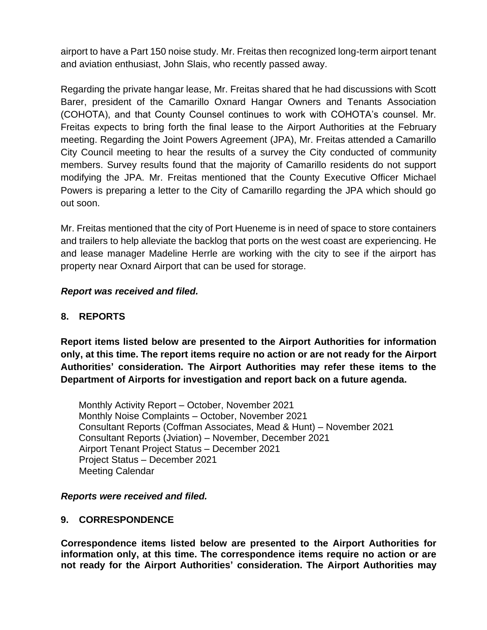airport to have a Part 150 noise study. Mr. Freitas then recognized long-term airport tenant and aviation enthusiast, John Slais, who recently passed away.

Regarding the private hangar lease, Mr. Freitas shared that he had discussions with Scott Barer, president of the Camarillo Oxnard Hangar Owners and Tenants Association (COHOTA), and that County Counsel continues to work with COHOTA's counsel. Mr. Freitas expects to bring forth the final lease to the Airport Authorities at the February meeting. Regarding the Joint Powers Agreement (JPA), Mr. Freitas attended a Camarillo City Council meeting to hear the results of a survey the City conducted of community members. Survey results found that the majority of Camarillo residents do not support modifying the JPA. Mr. Freitas mentioned that the County Executive Officer Michael Powers is preparing a letter to the City of Camarillo regarding the JPA which should go out soon.

Mr. Freitas mentioned that the city of Port Hueneme is in need of space to store containers and trailers to help alleviate the backlog that ports on the west coast are experiencing. He and lease manager Madeline Herrle are working with the city to see if the airport has property near Oxnard Airport that can be used for storage.

#### *Report was received and filed.*

## **8. REPORTS**

**Report items listed below are presented to the Airport Authorities for information only, at this time. The report items require no action or are not ready for the Airport Authorities' consideration. The Airport Authorities may refer these items to the Department of Airports for investigation and report back on a future agenda.** 

Monthly Activity Report – October, November 2021 Monthly Noise Complaints – October, November 2021 Consultant Reports (Coffman Associates, Mead & Hunt) – November 2021 Consultant Reports (Jviation) – November, December 2021 Airport Tenant Project Status – December 2021 Project Status – December 2021 Meeting Calendar

#### *Reports were received and filed.*

#### **9. CORRESPONDENCE**

**Correspondence items listed below are presented to the Airport Authorities for information only, at this time. The correspondence items require no action or are not ready for the Airport Authorities' consideration. The Airport Authorities may**